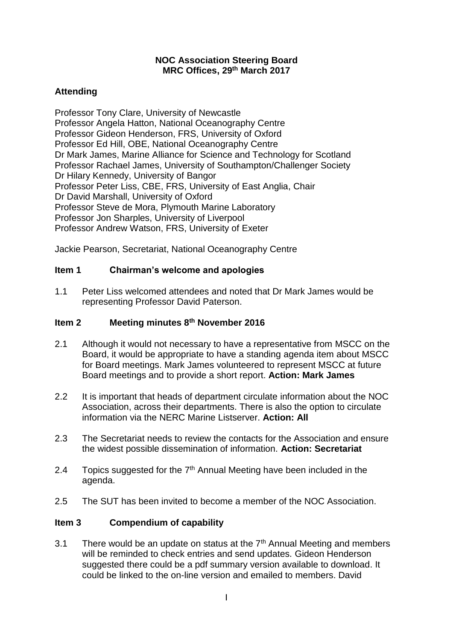#### **NOC Association Steering Board MRC Offices, 29th March 2017**

# **Attending**

Professor Tony Clare, University of Newcastle Professor Angela Hatton, National Oceanography Centre Professor Gideon Henderson, FRS, University of Oxford Professor Ed Hill, OBE, National Oceanography Centre Dr Mark James, Marine Alliance for Science and Technology for Scotland Professor Rachael James, University of Southampton/Challenger Society Dr Hilary Kennedy, University of Bangor Professor Peter Liss, CBE, FRS, University of East Anglia, Chair Dr David Marshall, University of Oxford Professor Steve de Mora, Plymouth Marine Laboratory Professor Jon Sharples, University of Liverpool Professor Andrew Watson, FRS, University of Exeter

Jackie Pearson, Secretariat, National Oceanography Centre

### **Item 1 Chairman's welcome and apologies**

1.1 Peter Liss welcomed attendees and noted that Dr Mark James would be representing Professor David Paterson.

### **Item 2 Meeting minutes 8th November 2016**

- 2.1 Although it would not necessary to have a representative from MSCC on the Board, it would be appropriate to have a standing agenda item about MSCC for Board meetings. Mark James volunteered to represent MSCC at future Board meetings and to provide a short report. **Action: Mark James**
- 2.2 It is important that heads of department circulate information about the NOC Association, across their departments. There is also the option to circulate information via the NERC Marine Listserver. **Action: All**
- 2.3 The Secretariat needs to review the contacts for the Association and ensure the widest possible dissemination of information. **Action: Secretariat**
- 2.4 Topics suggested for the  $7<sup>th</sup>$  Annual Meeting have been included in the agenda.
- 2.5 The SUT has been invited to become a member of the NOC Association.

### **Item 3 Compendium of capability**

3.1 There would be an update on status at the  $7<sup>th</sup>$  Annual Meeting and members will be reminded to check entries and send updates. Gideon Henderson suggested there could be a pdf summary version available to download. It could be linked to the on-line version and emailed to members. David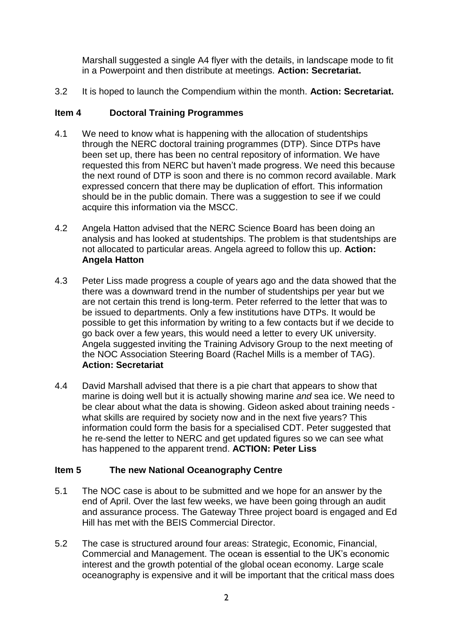Marshall suggested a single A4 flyer with the details, in landscape mode to fit in a Powerpoint and then distribute at meetings. **Action: Secretariat.**

3.2 It is hoped to launch the Compendium within the month. **Action: Secretariat.**

## **Item 4 Doctoral Training Programmes**

- 4.1 We need to know what is happening with the allocation of studentships through the NERC doctoral training programmes (DTP). Since DTPs have been set up, there has been no central repository of information. We have requested this from NERC but haven't made progress. We need this because the next round of DTP is soon and there is no common record available. Mark expressed concern that there may be duplication of effort. This information should be in the public domain. There was a suggestion to see if we could acquire this information via the MSCC.
- 4.2 Angela Hatton advised that the NERC Science Board has been doing an analysis and has looked at studentships. The problem is that studentships are not allocated to particular areas. Angela agreed to follow this up. **Action: Angela Hatton**
- 4.3 Peter Liss made progress a couple of years ago and the data showed that the there was a downward trend in the number of studentships per year but we are not certain this trend is long-term. Peter referred to the letter that was to be issued to departments. Only a few institutions have DTPs. It would be possible to get this information by writing to a few contacts but if we decide to go back over a few years, this would need a letter to every UK university. Angela suggested inviting the Training Advisory Group to the next meeting of the NOC Association Steering Board (Rachel Mills is a member of TAG). **Action: Secretariat**
- 4.4 David Marshall advised that there is a pie chart that appears to show that marine is doing well but it is actually showing marine *and* sea ice. We need to be clear about what the data is showing. Gideon asked about training needs what skills are required by society now and in the next five years? This information could form the basis for a specialised CDT. Peter suggested that he re-send the letter to NERC and get updated figures so we can see what has happened to the apparent trend. **ACTION: Peter Liss**

# **Item 5 The new National Oceanography Centre**

- 5.1 The NOC case is about to be submitted and we hope for an answer by the end of April. Over the last few weeks, we have been going through an audit and assurance process. The Gateway Three project board is engaged and Ed Hill has met with the BEIS Commercial Director.
- 5.2 The case is structured around four areas: Strategic, Economic, Financial, Commercial and Management. The ocean is essential to the UK's economic interest and the growth potential of the global ocean economy. Large scale oceanography is expensive and it will be important that the critical mass does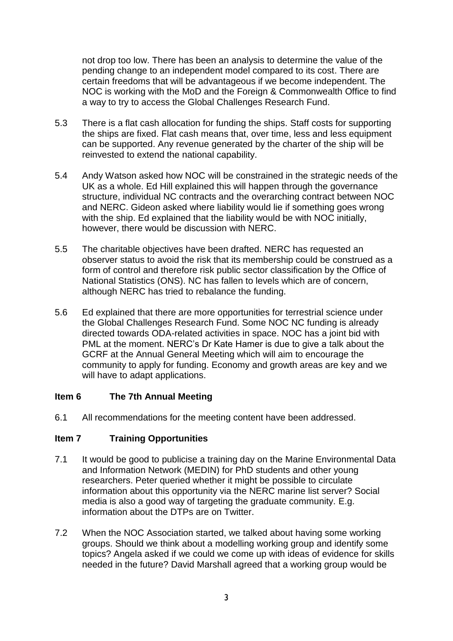not drop too low. There has been an analysis to determine the value of the pending change to an independent model compared to its cost. There are certain freedoms that will be advantageous if we become independent. The NOC is working with the MoD and the Foreign & Commonwealth Office to find a way to try to access the Global Challenges Research Fund.

- 5.3 There is a flat cash allocation for funding the ships. Staff costs for supporting the ships are fixed. Flat cash means that, over time, less and less equipment can be supported. Any revenue generated by the charter of the ship will be reinvested to extend the national capability.
- 5.4 Andy Watson asked how NOC will be constrained in the strategic needs of the UK as a whole. Ed Hill explained this will happen through the governance structure, individual NC contracts and the overarching contract between NOC and NERC. Gideon asked where liability would lie if something goes wrong with the ship. Ed explained that the liability would be with NOC initially, however, there would be discussion with NERC.
- 5.5 The charitable objectives have been drafted. NERC has requested an observer status to avoid the risk that its membership could be construed as a form of control and therefore risk public sector classification by the Office of National Statistics (ONS). NC has fallen to levels which are of concern, although NERC has tried to rebalance the funding.
- 5.6 Ed explained that there are more opportunities for terrestrial science under the Global Challenges Research Fund. Some NOC NC funding is already directed towards ODA-related activities in space. NOC has a joint bid with PML at the moment. NERC's Dr Kate Hamer is due to give a talk about the GCRF at the Annual General Meeting which will aim to encourage the community to apply for funding. Economy and growth areas are key and we will have to adapt applications.

### **Item 6 The 7th Annual Meeting**

6.1 All recommendations for the meeting content have been addressed.

# **Item 7 Training Opportunities**

- 7.1 It would be good to publicise a training day on the Marine Environmental Data and Information Network (MEDIN) for PhD students and other young researchers. Peter queried whether it might be possible to circulate information about this opportunity via the NERC marine list server? Social media is also a good way of targeting the graduate community. E.g. information about the DTPs are on Twitter.
- 7.2 When the NOC Association started, we talked about having some working groups. Should we think about a modelling working group and identify some topics? Angela asked if we could we come up with ideas of evidence for skills needed in the future? David Marshall agreed that a working group would be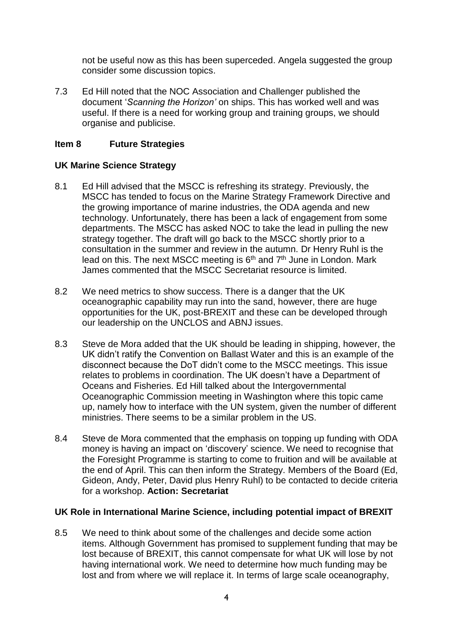not be useful now as this has been superceded. Angela suggested the group consider some discussion topics.

7.3 Ed Hill noted that the NOC Association and Challenger published the document '*Scanning the Horizon'* on ships. This has worked well and was useful. If there is a need for working group and training groups, we should organise and publicise.

### **Item 8 Future Strategies**

### **UK Marine Science Strategy**

- 8.1 Ed Hill advised that the MSCC is refreshing its strategy. Previously, the MSCC has tended to focus on the Marine Strategy Framework Directive and the growing importance of marine industries, the ODA agenda and new technology. Unfortunately, there has been a lack of engagement from some departments. The MSCC has asked NOC to take the lead in pulling the new strategy together. The draft will go back to the MSCC shortly prior to a consultation in the summer and review in the autumn. Dr Henry Ruhl is the lead on this. The next MSCC meeting is 6<sup>th</sup> and 7<sup>th</sup> June in London. Mark James commented that the MSCC Secretariat resource is limited.
- 8.2 We need metrics to show success. There is a danger that the UK oceanographic capability may run into the sand, however, there are huge opportunities for the UK, post-BREXIT and these can be developed through our leadership on the UNCLOS and ABNJ issues.
- 8.3 Steve de Mora added that the UK should be leading in shipping, however, the UK didn't ratify the Convention on Ballast Water and this is an example of the disconnect because the DoT didn't come to the MSCC meetings. This issue relates to problems in coordination. The UK doesn't have a Department of Oceans and Fisheries. Ed Hill talked about the Intergovernmental Oceanographic Commission meeting in Washington where this topic came up, namely how to interface with the UN system, given the number of different ministries. There seems to be a similar problem in the US.
- 8.4 Steve de Mora commented that the emphasis on topping up funding with ODA money is having an impact on 'discovery' science. We need to recognise that the Foresight Programme is starting to come to fruition and will be available at the end of April. This can then inform the Strategy. Members of the Board (Ed, Gideon, Andy, Peter, David plus Henry Ruhl) to be contacted to decide criteria for a workshop. **Action: Secretariat**

### **UK Role in International Marine Science, including potential impact of BREXIT**

8.5 We need to think about some of the challenges and decide some action items. Although Government has promised to supplement funding that may be lost because of BREXIT, this cannot compensate for what UK will lose by not having international work. We need to determine how much funding may be lost and from where we will replace it. In terms of large scale oceanography,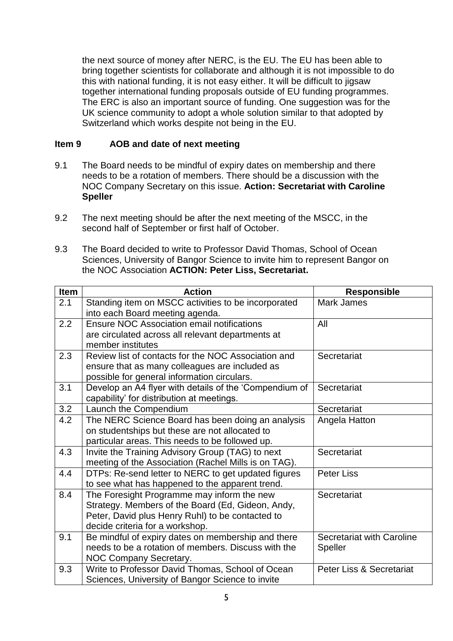the next source of money after NERC, is the EU. The EU has been able to bring together scientists for collaborate and although it is not impossible to do this with national funding, it is not easy either. It will be difficult to jigsaw together international funding proposals outside of EU funding programmes. The ERC is also an important source of funding. One suggestion was for the UK science community to adopt a whole solution similar to that adopted by Switzerland which works despite not being in the EU.

## **Item 9 AOB and date of next meeting**

- 9.1 The Board needs to be mindful of expiry dates on membership and there needs to be a rotation of members. There should be a discussion with the NOC Company Secretary on this issue. **Action: Secretariat with Caroline Speller**
- 9.2 The next meeting should be after the next meeting of the MSCC, in the second half of September or first half of October.
- 9.3 The Board decided to write to Professor David Thomas, School of Ocean Sciences, University of Bangor Science to invite him to represent Bangor on the NOC Association **ACTION: Peter Liss, Secretariat.**

| <b>Item</b>      | <b>Action</b>                                                                          | <b>Responsible</b>               |
|------------------|----------------------------------------------------------------------------------------|----------------------------------|
| 2.1              | Standing item on MSCC activities to be incorporated<br>into each Board meeting agenda. | <b>Mark James</b>                |
| 2.2              | Ensure NOC Association email notifications                                             | All                              |
|                  | are circulated across all relevant departments at<br>member institutes                 |                                  |
| 2.3              | Review list of contacts for the NOC Association and                                    | Secretariat                      |
|                  | ensure that as many colleagues are included as                                         |                                  |
|                  | possible for general information circulars.                                            |                                  |
| 3.1              | Develop an A4 flyer with details of the 'Compendium of                                 | Secretariat                      |
|                  | capability' for distribution at meetings.                                              |                                  |
| 3.2              | Launch the Compendium                                                                  | Secretariat                      |
| $\overline{4.2}$ | The NERC Science Board has been doing an analysis                                      | Angela Hatton                    |
|                  | on studentships but these are not allocated to                                         |                                  |
|                  | particular areas. This needs to be followed up.                                        |                                  |
| 4.3              | Invite the Training Advisory Group (TAG) to next                                       | Secretariat                      |
|                  | meeting of the Association (Rachel Mills is on TAG).                                   |                                  |
| 4.4              | DTPs: Re-send letter to NERC to get updated figures                                    | Peter Liss                       |
|                  | to see what has happened to the apparent trend.                                        |                                  |
| 8.4              | The Foresight Programme may inform the new                                             | Secretariat                      |
|                  | Strategy. Members of the Board (Ed, Gideon, Andy,                                      |                                  |
|                  | Peter, David plus Henry Ruhl) to be contacted to                                       |                                  |
|                  | decide criteria for a workshop.                                                        |                                  |
| 9.1              | Be mindful of expiry dates on membership and there                                     | <b>Secretariat with Caroline</b> |
|                  | needs to be a rotation of members. Discuss with the                                    | Speller                          |
|                  | <b>NOC Company Secretary.</b>                                                          |                                  |
| 9.3              | Write to Professor David Thomas, School of Ocean                                       | Peter Liss & Secretariat         |
|                  | Sciences, University of Bangor Science to invite                                       |                                  |